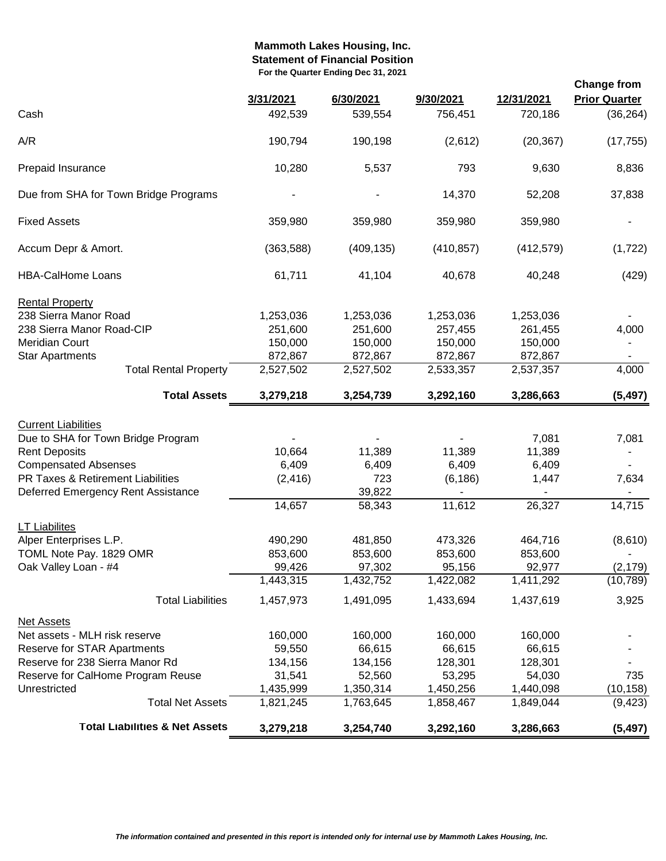### **Mammoth Lakes Housing, Inc. Statement of Financial Position For the Quarter Ending Dec 31, 2021**

| Cash<br>A/R                                                                                                                                                                                          | 492,539<br>190,794<br>10,280                                     | 539,554<br>190,198                                               | 756,451<br>(2,612)                                               | 720,186                                                          | (36, 264)                                 |
|------------------------------------------------------------------------------------------------------------------------------------------------------------------------------------------------------|------------------------------------------------------------------|------------------------------------------------------------------|------------------------------------------------------------------|------------------------------------------------------------------|-------------------------------------------|
|                                                                                                                                                                                                      |                                                                  |                                                                  |                                                                  |                                                                  |                                           |
|                                                                                                                                                                                                      |                                                                  |                                                                  |                                                                  | (20, 367)                                                        | (17, 755)                                 |
| Prepaid Insurance                                                                                                                                                                                    |                                                                  | 5,537                                                            | 793                                                              | 9,630                                                            | 8,836                                     |
| Due from SHA for Town Bridge Programs                                                                                                                                                                |                                                                  |                                                                  | 14,370                                                           | 52,208                                                           | 37,838                                    |
| <b>Fixed Assets</b>                                                                                                                                                                                  | 359,980                                                          | 359,980                                                          | 359,980                                                          | 359,980                                                          |                                           |
| Accum Depr & Amort.                                                                                                                                                                                  | (363,588)                                                        | (409, 135)                                                       | (410, 857)                                                       | (412, 579)                                                       | (1, 722)                                  |
| <b>HBA-CalHome Loans</b>                                                                                                                                                                             | 61,711                                                           | 41,104                                                           | 40,678                                                           | 40,248                                                           | (429)                                     |
| <b>Rental Property</b><br>238 Sierra Manor Road<br>238 Sierra Manor Road-CIP<br><b>Meridian Court</b><br><b>Star Apartments</b><br><b>Total Rental Property</b>                                      | 1,253,036<br>251,600<br>150,000<br>872,867<br>2,527,502          | 1,253,036<br>251,600<br>150,000<br>872,867<br>2,527,502          | 1,253,036<br>257,455<br>150,000<br>872,867<br>2,533,357          | 1,253,036<br>261,455<br>150,000<br>872,867<br>2,537,357          | 4,000<br>4,000                            |
| <b>Total Assets</b>                                                                                                                                                                                  | 3,279,218                                                        | 3,254,739                                                        | 3,292,160                                                        | 3,286,663                                                        | (5, 497)                                  |
| <b>Current Liabilities</b><br>Due to SHA for Town Bridge Program<br><b>Rent Deposits</b><br><b>Compensated Absenses</b><br>PR Taxes & Retirement Liabilities<br>Deferred Emergency Rent Assistance   | 10,664<br>6,409<br>(2, 416)<br>14,657                            | 11,389<br>6,409<br>723<br>39,822<br>58,343                       | 11,389<br>6,409<br>(6, 186)<br>11,612                            | 7,081<br>11,389<br>6,409<br>1,447<br>26,327                      | 7,081<br>7,634<br>14,715                  |
| <b>LT Liabilites</b><br>Alper Enterprises L.P.<br>TOML Note Pay. 1829 OMR<br>Oak Valley Loan - #4<br><b>Total Liabilities</b>                                                                        | 490,290<br>853,600<br>99,426<br>1,443,315<br>1,457,973           | 481,850<br>853,600<br>97,302<br>1,432,752<br>1,491,095           | 473,326<br>853,600<br>95,156<br>1,422,082<br>1,433,694           | 464,716<br>853,600<br>92,977<br>1,411,292<br>1,437,619           | (8,610)<br>(2, 179)<br>(10, 789)<br>3,925 |
| <b>Net Assets</b><br>Net assets - MLH risk reserve<br>Reserve for STAR Apartments<br>Reserve for 238 Sierra Manor Rd<br>Reserve for CalHome Program Reuse<br>Unrestricted<br><b>Total Net Assets</b> | 160,000<br>59,550<br>134,156<br>31,541<br>1,435,999<br>1,821,245 | 160,000<br>66,615<br>134,156<br>52,560<br>1,350,314<br>1,763,645 | 160,000<br>66,615<br>128,301<br>53,295<br>1,450,256<br>1,858,467 | 160,000<br>66,615<br>128,301<br>54,030<br>1,440,098<br>1,849,044 | 735<br>(10, 158)<br>(9, 423)              |
| <b>Total Liabilities &amp; Net Assets</b>                                                                                                                                                            | 3,279,218                                                        | 3,254,740                                                        | 3,292,160                                                        | 3,286,663                                                        | (5, 497)                                  |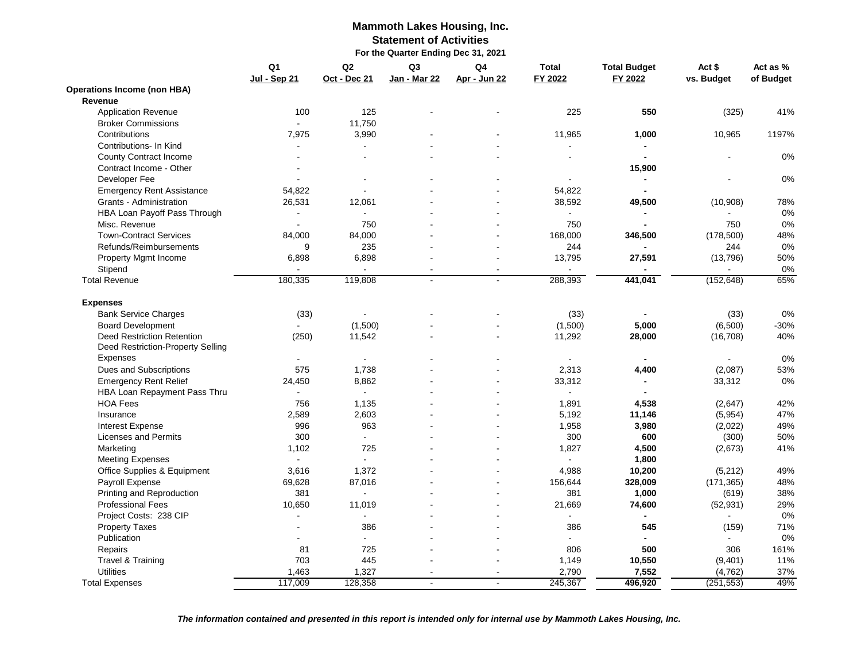#### **Mammoth Lakes Housing, Inc. Statement of Activities For the Quarter Ending Dec 31, 2021**

|                                    | Q1<br><b>Jul - Sep 21</b> | Q <sub>2</sub><br>Oct - Dec 21 | Q3<br>Jan - Mar 22 | Q <sub>4</sub><br>Apr - Jun 22 | <b>Total</b><br>FY 2022 | <b>Total Budget</b><br>FY 2022 | Act \$<br>vs. Budget | Act as %<br>of Budget |
|------------------------------------|---------------------------|--------------------------------|--------------------|--------------------------------|-------------------------|--------------------------------|----------------------|-----------------------|
| <b>Operations Income (non HBA)</b> |                           |                                |                    |                                |                         |                                |                      |                       |
| Revenue                            |                           |                                |                    |                                |                         |                                |                      |                       |
| <b>Application Revenue</b>         | 100                       | 125                            |                    |                                | 225                     | 550                            | (325)                | 41%                   |
| <b>Broker Commissions</b>          | ÷.                        | 11,750                         |                    |                                |                         |                                |                      |                       |
| Contributions                      | 7,975                     | 3,990                          |                    |                                | 11,965                  | 1,000                          | 10,965               | 1197%                 |
| Contributions- In Kind             | $\blacksquare$            | $\blacksquare$                 |                    |                                | $\blacksquare$          | $\blacksquare$                 |                      |                       |
| <b>County Contract Income</b>      |                           | $\overline{a}$                 |                    |                                |                         |                                |                      | 0%                    |
| Contract Income - Other            |                           |                                |                    |                                |                         | 15,900                         |                      |                       |
| Developer Fee                      |                           |                                |                    |                                |                         |                                |                      | 0%                    |
| <b>Emergency Rent Assistance</b>   | 54,822                    |                                |                    |                                | 54,822                  | $\blacksquare$                 |                      |                       |
| Grants - Administration            | 26,531                    | 12,061                         |                    |                                | 38,592                  | 49,500                         | (10,908)             | 78%                   |
| HBA Loan Payoff Pass Through       |                           |                                |                    |                                |                         | $\blacksquare$                 |                      | 0%                    |
| Misc. Revenue                      | $\blacksquare$            | 750                            |                    |                                | 750                     |                                | 750                  | 0%                    |
| <b>Town-Contract Services</b>      | 84,000                    | 84,000                         |                    |                                | 168,000                 | 346,500                        | (178,500)            | 48%                   |
| Refunds/Reimbursements             | 9                         | 235                            |                    |                                | 244                     | $\blacksquare$                 | 244                  | 0%                    |
| Property Mgmt Income               | 6,898                     | 6,898                          |                    |                                | 13,795                  | 27,591                         | (13,796)             | 50%                   |
| Stipend                            |                           |                                |                    | $\sim$                         |                         |                                |                      | 0%                    |
| <b>Total Revenue</b>               | 180,335                   | 119,808                        | $\overline{a}$     | $\overline{a}$                 | 288,393                 | 441,041                        | (152, 648)           | 65%                   |
| <b>Expenses</b>                    |                           |                                |                    |                                |                         |                                |                      |                       |
| <b>Bank Service Charges</b>        | (33)                      |                                |                    |                                | (33)                    |                                | (33)                 | 0%                    |
| <b>Board Development</b>           |                           | (1,500)                        |                    |                                | (1,500)                 | 5,000                          | (6,500)              | $-30%$                |
| <b>Deed Restriction Retention</b>  | (250)                     | 11,542                         |                    |                                | 11,292                  | 28,000                         | (16, 708)            | 40%                   |
| Deed Restriction-Property Selling  |                           |                                |                    |                                |                         |                                |                      |                       |
| Expenses                           |                           |                                |                    |                                | $\sim$                  |                                |                      | 0%                    |
| Dues and Subscriptions             | 575                       | 1,738                          |                    |                                | 2,313                   | 4,400                          | (2,087)              | 53%                   |
| <b>Emergency Rent Relief</b>       | 24,450                    | 8,862                          |                    |                                | 33,312                  | $\blacksquare$                 | 33,312               | 0%                    |
| HBA Loan Repayment Pass Thru       | $\overline{a}$            |                                |                    |                                | $\overline{a}$          |                                |                      |                       |
| <b>HOA Fees</b>                    | 756                       | 1,135                          |                    |                                | 1,891                   | 4,538                          | (2,647)              | 42%                   |
| Insurance                          | 2,589                     | 2,603                          |                    |                                | 5,192                   | 11,146                         | (5,954)              | 47%                   |
| <b>Interest Expense</b>            | 996                       | 963                            |                    |                                | 1,958                   | 3,980                          | (2,022)              | 49%                   |
| <b>Licenses and Permits</b>        | 300                       | $\sim$                         |                    |                                | 300                     | 600                            | (300)                | 50%                   |
| Marketing                          | 1,102                     | 725                            |                    |                                | 1,827                   | 4,500                          | (2,673)              | 41%                   |
| <b>Meeting Expenses</b>            | $\mathbf{r}$              | $\sim$                         |                    |                                | ÷.                      | 1,800                          |                      |                       |
| Office Supplies & Equipment        | 3,616                     | 1,372                          |                    |                                | 4,988                   | 10,200                         | (5,212)              | 49%                   |
| Payroll Expense                    | 69,628                    | 87,016                         |                    |                                | 156,644                 | 328,009                        | (171, 365)           | 48%                   |
| Printing and Reproduction          | 381                       |                                |                    |                                | 381                     | 1,000                          | (619)                | 38%                   |
| <b>Professional Fees</b>           | 10,650                    | 11,019                         |                    |                                | 21,669                  | 74,600                         | (52, 931)            | 29%                   |
| Project Costs: 238 CIP             |                           |                                |                    |                                | $\sim$                  | $\blacksquare$                 |                      | 0%                    |
| <b>Property Taxes</b>              |                           | 386                            |                    |                                | 386                     | 545                            | (159)                | 71%                   |
| Publication                        |                           |                                |                    |                                |                         |                                |                      | 0%                    |
| Repairs                            | 81                        | 725                            |                    |                                | 806                     | 500                            | 306                  | 161%                  |
| Travel & Training                  | 703                       | 445                            |                    |                                | 1,149                   | 10,550                         | (9,401)              | 11%                   |
| <b>Utilities</b>                   | 1,463                     | 1,327                          |                    |                                | 2,790                   | 7,552                          | (4, 762)             | 37%                   |
| <b>Total Expenses</b>              | 117,009                   | 128,358                        | $\Delta$           | $\sim$                         | 245,367                 | 496,920                        | (251, 553)           | 49%                   |
|                                    |                           |                                |                    |                                |                         |                                |                      |                       |

*The information contained and presented in this report is intended only for internal use by Mammoth Lakes Housing, Inc.*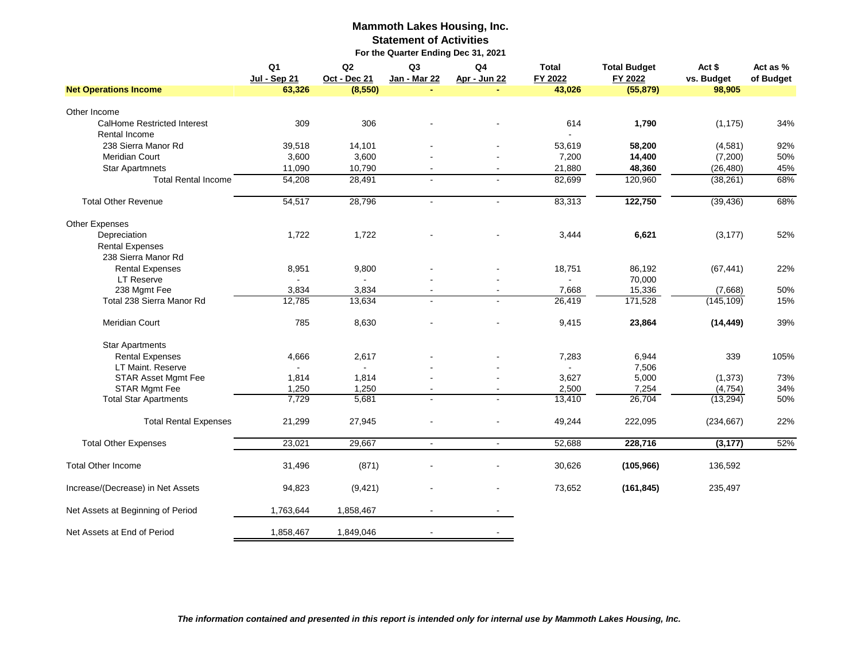#### **Mammoth Lakes Housing, Inc. Statement of Activities For the Quarter Ending Dec 31, 2021**

|                                   | Q <sub>1</sub><br>Jul - Sep 21 | Q2<br>Oct - Dec 21 | Q <sub>3</sub><br>Jan - Mar 22 | Q <sub>4</sub><br>Apr - Jun 22 | <b>Total</b><br>FY 2022 | <b>Total Budget</b><br>FY 2022 | Act \$<br>vs. Budget | Act as %<br>of Budget |
|-----------------------------------|--------------------------------|--------------------|--------------------------------|--------------------------------|-------------------------|--------------------------------|----------------------|-----------------------|
| <b>Net Operations Income</b>      | 63,326                         | (8, 550)           |                                |                                | 43,026                  | (55, 879)                      | 98,905               |                       |
| Other Income                      |                                |                    |                                |                                |                         |                                |                      |                       |
| CalHome Restricted Interest       | 309                            | 306                |                                |                                | 614                     | 1,790                          | (1, 175)             | 34%                   |
| Rental Income                     |                                |                    |                                |                                |                         |                                |                      |                       |
| 238 Sierra Manor Rd               | 39,518                         | 14,101             |                                |                                | 53,619                  | 58,200                         | (4,581)              | 92%                   |
| Meridian Court                    | 3,600                          | 3,600              |                                |                                | 7,200                   | 14,400                         | (7,200)              | 50%                   |
| <b>Star Apartmnets</b>            | 11,090                         | 10,790             |                                |                                | 21,880                  | 48,360                         | (26, 480)            | 45%                   |
| <b>Total Rental Income</b>        | 54,208                         | 28,491             | $\sim$                         | $\overline{a}$                 | 82,699                  | 120,960                        | (38, 261)            | 68%                   |
|                                   |                                |                    |                                |                                |                         |                                |                      |                       |
| <b>Total Other Revenue</b>        | 54,517                         | 28,796             |                                | $\sim$                         | 83,313                  | 122,750                        | (39, 436)            | 68%                   |
| Other Expenses                    |                                |                    |                                |                                |                         |                                |                      |                       |
| Depreciation                      | 1,722                          | 1,722              |                                |                                | 3,444                   | 6,621                          | (3, 177)             | 52%                   |
| <b>Rental Expenses</b>            |                                |                    |                                |                                |                         |                                |                      |                       |
| 238 Sierra Manor Rd               |                                |                    |                                |                                |                         |                                |                      |                       |
| <b>Rental Expenses</b>            | 8,951                          | 9,800              |                                |                                | 18,751                  | 86,192                         | (67, 441)            | 22%                   |
| <b>LT Reserve</b>                 |                                | $\blacksquare$     |                                |                                | $\sim$                  | 70,000                         |                      |                       |
| 238 Mgmt Fee                      | 3,834                          | 3,834              |                                |                                | 7,668                   | 15,336                         | (7,668)              | 50%                   |
| Total 238 Sierra Manor Rd         | 12,785                         | 13,634             |                                |                                | 26,419                  | 171,528                        | (145, 109)           | 15%                   |
|                                   |                                |                    |                                |                                |                         |                                |                      |                       |
| <b>Meridian Court</b>             | 785                            | 8,630              |                                |                                | 9,415                   | 23,864                         | (14, 449)            | 39%                   |
| <b>Star Apartments</b>            |                                |                    |                                |                                |                         |                                |                      |                       |
| <b>Rental Expenses</b>            | 4,666                          | 2,617              |                                |                                | 7,283                   | 6,944                          | 339                  | 105%                  |
| LT Maint. Reserve                 |                                |                    |                                |                                |                         | 7,506                          |                      |                       |
| STAR Asset Mgmt Fee               | 1,814                          | 1,814              |                                |                                | 3,627                   | 5,000                          | (1, 373)             | 73%                   |
| STAR Mgmt Fee                     | 1,250                          | 1,250              |                                |                                | 2,500                   | 7,254                          | (4, 754)             | 34%                   |
| <b>Total Star Apartments</b>      | 7,729                          | 5,681              |                                |                                | 13,410                  | 26,704                         | (13, 294)            | 50%                   |
|                                   |                                |                    |                                |                                |                         |                                |                      |                       |
| <b>Total Rental Expenses</b>      | 21,299                         | 27,945             |                                |                                | 49,244                  | 222,095                        | (234, 667)           | 22%                   |
| <b>Total Other Expenses</b>       | 23,021                         | 29,667             | $\blacksquare$                 | $\omega$                       | 52,688                  | 228,716                        | (3, 177)             | 52%                   |
| <b>Total Other Income</b>         | 31,496                         | (871)              |                                |                                | 30,626                  | (105, 966)                     | 136,592              |                       |
|                                   |                                |                    |                                |                                |                         |                                |                      |                       |
| Increase/(Decrease) in Net Assets | 94,823                         | (9,421)            |                                |                                | 73,652                  | (161, 845)                     | 235,497              |                       |
| Net Assets at Beginning of Period | 1,763,644                      | 1,858,467          |                                |                                |                         |                                |                      |                       |
| Net Assets at End of Period       | 1,858,467                      | 1,849,046          |                                |                                |                         |                                |                      |                       |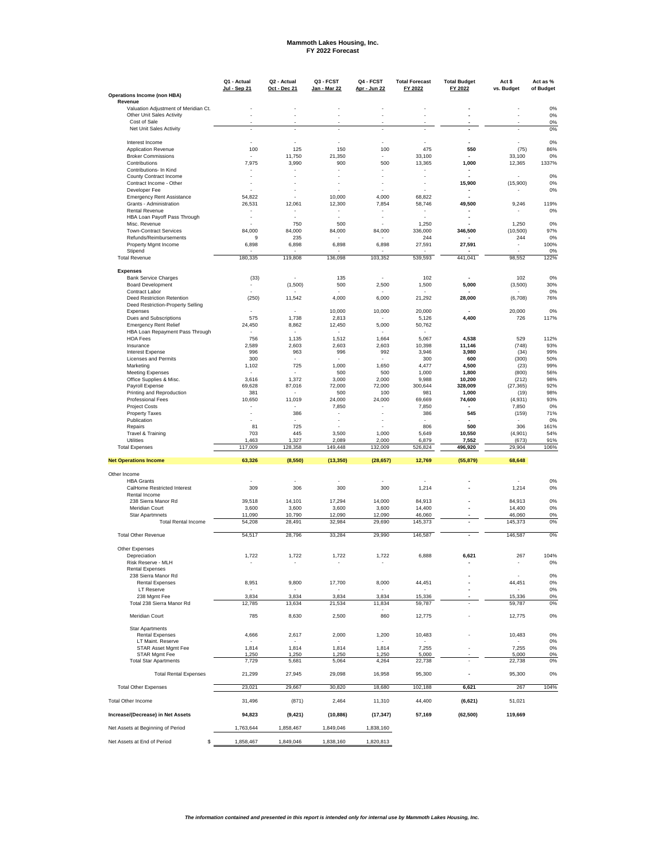# **Mammoth Lakes Housing, Inc. FY 2022 Forecast**

|                                                                   | Q1 - Actual<br>Jul - Sep 21        | Q2 - Actual<br>Oct - Dec 21 | Q3 - FCST<br><u> Jan - Mar 22</u> | Q4 - FCST<br>Apr - Jun 22         | <b>Total Forecast</b><br>FY 2022 | <b>Total Budget</b><br>FY 2022     | Act \$<br>vs. Budget            | Act as %<br>of Budget |
|-------------------------------------------------------------------|------------------------------------|-----------------------------|-----------------------------------|-----------------------------------|----------------------------------|------------------------------------|---------------------------------|-----------------------|
| Operations Income (non HBA)                                       |                                    |                             |                                   |                                   |                                  |                                    |                                 |                       |
| Revenue                                                           |                                    |                             |                                   |                                   |                                  |                                    |                                 |                       |
| Valuation Adjustment of Meridian Ct.<br>Other Unit Sales Activity |                                    |                             |                                   |                                   |                                  |                                    |                                 | 0%<br>0%              |
| Cost of Sale                                                      |                                    |                             |                                   |                                   |                                  |                                    |                                 | 0%                    |
| Net Unit Sales Activity                                           | ÷,                                 | $\overline{\phantom{a}}$    | $\overline{\phantom{a}}$          |                                   |                                  | $\overline{\phantom{a}}$           |                                 | 0%                    |
| Interest Income                                                   |                                    |                             |                                   |                                   |                                  |                                    |                                 | 0%                    |
| <b>Application Revenue</b>                                        | 100                                | 125                         | 150                               | 100                               | 475                              | 550                                | (75)                            | 86%                   |
| <b>Broker Commissions</b>                                         | 7,975                              | 11,750<br>3,990             | 21,350                            |                                   | 33,100<br>13,365                 | 1,000                              | 33,100                          | 0%                    |
| Contributions<br>Contributions- In Kind                           | ٠                                  | $\overline{\phantom{a}}$    | 900<br>٠                          | 500<br>$\overline{\phantom{a}}$   | $\overline{\phantom{a}}$         | $\overline{\phantom{a}}$           | 12,365                          | 1337%                 |
| County Contract Income                                            | $\sim$                             |                             |                                   |                                   |                                  | L,                                 |                                 | 0%                    |
| Contract Income - Other                                           | $\sim$                             | ä,                          |                                   |                                   |                                  | 15,900                             | (15,900)                        | 0%                    |
| Developer Fee                                                     |                                    | ä,                          |                                   |                                   |                                  | ٠                                  |                                 | 0%                    |
| <b>Emergency Rent Assistance</b>                                  | 54,822                             | 12,061                      | 10,000                            | 4,000                             | 68,822<br>58.746                 |                                    |                                 | 119%                  |
| Grants - Administration<br><b>Rental Revenue</b>                  | 26,531<br>$\overline{\phantom{a}}$ | $\overline{\phantom{a}}$    | 12,300<br>٠                       | 7,854<br>$\overline{\phantom{a}}$ | $\overline{\phantom{a}}$         | 49,500<br>$\overline{\phantom{a}}$ | 9,246                           | 0%                    |
| HBA Loan Payoff Pass Through                                      | $\sim$                             | $\overline{\phantom{a}}$    |                                   |                                   |                                  | $\overline{\phantom{a}}$           |                                 |                       |
| Misc. Revenue                                                     |                                    | 750                         | 500                               |                                   | 1,250                            |                                    | 1,250                           | 0%                    |
| <b>Town-Contract Services</b>                                     | 84,000                             | 84,000                      | 84,000                            | 84,000                            | 336,000                          | 346,500                            | (10, 500)                       | 97%                   |
| Refunds/Reimbursements<br>Property Mgmt Income                    | 9<br>6,898                         | 235<br>6,898                | 6,898                             | 6,898                             | 244<br>27,591                    | 27,591                             | 244<br>$\overline{\phantom{a}}$ | 0%<br>100%            |
| Stipend                                                           |                                    |                             |                                   |                                   |                                  |                                    |                                 | 0%                    |
| <b>Total Revenue</b>                                              | 180,335                            | 119,808                     | 136,098                           | 103,352                           | 539,593                          | 441,041                            | 98,552                          | 122%                  |
| <b>Expenses</b>                                                   |                                    |                             |                                   |                                   |                                  |                                    |                                 |                       |
| <b>Bank Service Charges</b>                                       | (33)                               |                             | 135                               |                                   | 102                              |                                    | 102                             | 0%                    |
| <b>Board Development</b>                                          | ÷,                                 | (1,500)                     | 500                               | 2,500                             | 1,500                            | 5,000                              | (3,500)                         | 30%                   |
| Contract Labor<br>Deed Restriction Retention                      |                                    |                             | 4,000                             | 6,000                             | 21,292                           | 28.000                             |                                 | 0%<br>76%             |
| Deed Restriction-Property Selling                                 | (250)                              | 11,542                      |                                   |                                   |                                  |                                    | (6,708)                         |                       |
| Expenses                                                          |                                    |                             | 10,000                            | 10,000                            | 20,000                           |                                    | 20,000                          | 0%                    |
| Dues and Subscriptions                                            | 575                                | 1,738                       | 2,813                             |                                   | 5,126                            | 4,400                              | 726                             | 117%                  |
| <b>Emergency Rent Relief</b>                                      | 24,450                             | 8,862                       | 12,450                            | 5,000                             | 50,762                           |                                    |                                 |                       |
| HBA Loan Repayment Pass Through<br><b>HOA Fees</b>                | 756                                | 1,135                       | 1,512                             | 1,664                             | 5,067                            | 4,538                              | 529                             | 112%                  |
| Insurance                                                         | 2,589                              | 2,603                       | 2,603                             | 2,603                             | 10,398                           | 11,146                             | (748)                           | 93%                   |
| <b>Interest Expense</b>                                           | 996                                | 963                         | 996                               | 992                               | 3,946                            | 3,980                              | (34)                            | 99%                   |
| Licenses and Permits                                              | 300                                | $\overline{\phantom{a}}$    |                                   |                                   | 300                              | 600                                | (300)                           | 50%                   |
| Marketing                                                         | 1,102                              | 725                         | 1,000                             | 1,650                             | 4,477                            | 4,500                              | (23)                            | 99%                   |
| <b>Meeting Expenses</b><br>Office Supplies & Misc.                | 3,616                              | 1,372                       | 500<br>3,000                      | 500<br>2,000                      | 1,000<br>9,988                   | 1,800<br>10,200                    | (800)<br>(212)                  | 56%<br>98%            |
| Pavroll Expense                                                   | 69,628                             | 87,016                      | 72,000                            | 72,000                            | 300.644                          | 328,009                            | (27, 365)                       | 92%                   |
| Printing and Reproduction                                         | 381                                |                             | 500                               | 100                               | 981                              | 1,000                              | (19)                            | 98%                   |
| Professional Fees                                                 | 10,650                             | 11,019                      | 24,000                            | 24,000                            | 69,669                           | 74,600                             | (4, 931)                        | 93%                   |
| <b>Project Costs</b>                                              | ٠                                  |                             | 7,850                             | $\sim$                            | 7,850                            | ٠                                  | 7,850                           | 0%                    |
| <b>Property Taxes</b><br>Publication                              | $\tilde{\phantom{a}}$              | 386<br>$\sim$               |                                   |                                   | 386<br>$\tilde{\phantom{a}}$     | 545                                | (159)                           | 71%<br>0%             |
| Repairs                                                           | 81                                 | 725                         |                                   |                                   | 806                              | 500                                | 306                             | 161%                  |
| Travel & Training                                                 | 703                                | 445                         | 3,500                             | 1,000                             | 5,649                            | 10,550                             | (4,901)                         | 54%                   |
| <b>Utilities</b>                                                  | 1,463                              | 1,327                       | 2,089                             | 2,000                             | 6,879                            | 7,552                              | (673)                           | 91%                   |
| <b>Total Expenses</b>                                             | 117,009                            | 128,358                     | 149,448                           | 132,009                           | 526,824                          | 496,920                            | 29,904                          | 106%                  |
| <b>Net Operations Income</b>                                      | 63,326                             | (8,550)                     | (13, 350)                         | (28, 657)                         | 12,769                           | (55, 879)                          | 68,648                          |                       |
| Other Income                                                      |                                    |                             |                                   |                                   |                                  |                                    |                                 |                       |
| <b>HBA Grants</b>                                                 |                                    |                             |                                   |                                   |                                  |                                    |                                 | 0%                    |
| CalHome Restricted Interest                                       | 309                                | 306                         | 300                               | 300                               | 1,214                            |                                    | 1,214                           | 0%                    |
| Rental Income<br>238 Sierra Manor Rd                              |                                    |                             |                                   | 14.000                            |                                  |                                    |                                 |                       |
| Meridian Court                                                    | 39,518<br>3,600                    | 14,101<br>3,600             | 17,294<br>3,600                   | 3,600                             | 84,913<br>14,400                 | Ĭ.<br>÷                            | 84,913<br>14,400                | 0%<br>0%              |
| <b>Star Apartmnets</b>                                            | 11,090                             | 10,790                      | 12,090                            | 12,090                            | 46,060                           |                                    | 46,060                          | 0%                    |
| <b>Total Rental Income</b>                                        | 54,208                             | 28,491                      | 32,984                            | 29,690                            | 145,373                          |                                    | 145,373                         | 0%                    |
| <b>Total Other Revenue</b>                                        | 54,517                             | 28,796                      | 33,284                            | 29,990                            | 146,587                          |                                    | 146,587                         | 0%                    |
|                                                                   |                                    |                             |                                   |                                   |                                  |                                    |                                 |                       |
| Other Expenses<br>Depreciation                                    | 1,722                              | 1,722                       | 1,722                             | 1,722                             | 6,888                            | 6,621                              | 267                             | 104%                  |
| Risk Reserve - MLH                                                |                                    |                             |                                   |                                   |                                  |                                    |                                 | 0%                    |
| <b>Rental Expenses</b>                                            |                                    |                             |                                   |                                   |                                  |                                    |                                 |                       |
| 238 Sierra Manor Rd                                               |                                    |                             |                                   |                                   |                                  |                                    |                                 | 0%                    |
| <b>Rental Expenses</b>                                            | 8,951                              | 9,800                       | 17,700                            | 8,000                             | 44,451                           |                                    | 44,451                          | 0%                    |
| LT Reserve                                                        |                                    | ÷,                          |                                   |                                   |                                  |                                    |                                 | 0%                    |
| 238 Mgmt Fee<br>Total 238 Sierra Manor Rd                         | 3,834<br>12,785                    | 3,834<br>13,634             | 3,834<br>21,534                   | 3,834<br>11,834                   | 15,336<br>59,787                 |                                    | 15,336<br>59,787                | 0%<br>0%              |
|                                                                   |                                    |                             |                                   |                                   |                                  |                                    |                                 |                       |
| Meridian Court                                                    | 785                                | 8,630                       | 2,500                             | 860                               | 12,775                           |                                    | 12,775                          | 0%                    |
| Star Apartments                                                   |                                    |                             |                                   |                                   |                                  |                                    |                                 |                       |
| <b>Rental Expenses</b>                                            | 4,666                              | 2,617                       | 2,000                             | 1,200                             | 10,483                           |                                    | 10,483                          | 0%                    |
| LT Maint. Reserve<br>STAR Asset Mgmt Fee                          | 1,814                              | 1,814                       | 1,814                             | 1,814                             | 7,255                            |                                    | 7,255                           | 0%<br>0%              |
| STAR Mgmt Fee                                                     | 1,250                              | 1,250                       | 1,250                             | 1,250                             | 5,000                            |                                    | 5,000                           | 0%                    |
| <b>Total Star Apartments</b>                                      | 7,729                              | 5,681                       | 5,064                             | 4,264                             | 22,738                           |                                    | 22,738                          | 0%                    |
| <b>Total Rental Expenses</b>                                      | 21,299                             | 27,945                      | 29,098                            | 16,958                            | 95,300                           | $\overline{a}$                     | 95,300                          | 0%                    |
| <b>Total Other Expenses</b>                                       | 23,021                             | 29,667                      | 30,820                            | 18,680                            | 102,188                          | 6,621                              | 267                             | 104%                  |
| <b>Total Other Income</b>                                         | 31,496                             | (871)                       | 2,464                             | 11,310                            | 44,400                           |                                    | 51,021                          |                       |
|                                                                   |                                    |                             |                                   |                                   |                                  | (6, 621)                           |                                 |                       |
| Increase/(Decrease) in Net Assets                                 | 94,823                             | (9, 421)                    | (10, 886)                         | (17, 347)                         | 57,169                           | (62, 500)                          | 119,669                         |                       |
| Net Assets at Beginning of Period                                 | 1,763,644                          | 1,858,467                   | 1,849,046                         | 1,838,160                         |                                  |                                    |                                 |                       |
|                                                                   |                                    |                             |                                   |                                   |                                  |                                    |                                 |                       |